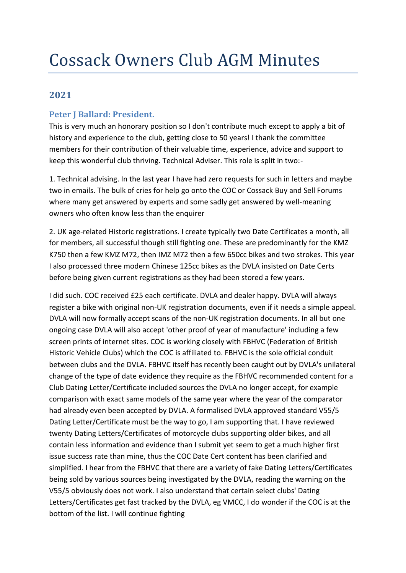# **2021**

## **Peter J Ballard: President.**

This is very much an honorary position so I don't contribute much except to apply a bit of history and experience to the club, getting close to 50 years! I thank the committee members for their contribution of their valuable time, experience, advice and support to keep this wonderful club thriving. Technical Adviser. This role is split in two:-

1. Technical advising. In the last year I have had zero requests for such in letters and maybe two in emails. The bulk of cries for help go onto the COC or Cossack Buy and Sell Forums where many get answered by experts and some sadly get answered by well-meaning owners who often know less than the enquirer

2. UK age-related Historic registrations. I create typically two Date Certificates a month, all for members, all successful though still fighting one. These are predominantly for the KMZ K750 then a few KMZ M72, then IMZ M72 then a few 650cc bikes and two strokes. This year I also processed three modern Chinese 125cc bikes as the DVLA insisted on Date Certs before being given current registrations as they had been stored a few years.

I did such. COC received £25 each certificate. DVLA and dealer happy. DVLA will always register a bike with original non-UK registration documents, even if it needs a simple appeal. DVLA will now formally accept scans of the non-UK registration documents. In all but one ongoing case DVLA will also accept 'other proof of year of manufacture' including a few screen prints of internet sites. COC is working closely with FBHVC (Federation of British Historic Vehicle Clubs) which the COC is affiliated to. FBHVC is the sole official conduit between clubs and the DVLA. FBHVC itself has recently been caught out by DVLA's unilateral change of the type of date evidence they require as the FBHVC recommended content for a Club Dating Letter/Certificate included sources the DVLA no longer accept, for example comparison with exact same models of the same year where the year of the comparator had already even been accepted by DVLA. A formalised DVLA approved standard V55/5 Dating Letter/Certificate must be the way to go, I am supporting that. I have reviewed twenty Dating Letters/Certificates of motorcycle clubs supporting older bikes, and all contain less information and evidence than I submit yet seem to get a much higher first issue success rate than mine, thus the COC Date Cert content has been clarified and simplified. I hear from the FBHVC that there are a variety of fake Dating Letters/Certificates being sold by various sources being investigated by the DVLA, reading the warning on the V55/5 obviously does not work. I also understand that certain select clubs' Dating Letters/Certificates get fast tracked by the DVLA, eg VMCC, I do wonder if the COC is at the bottom of the list. I will continue fighting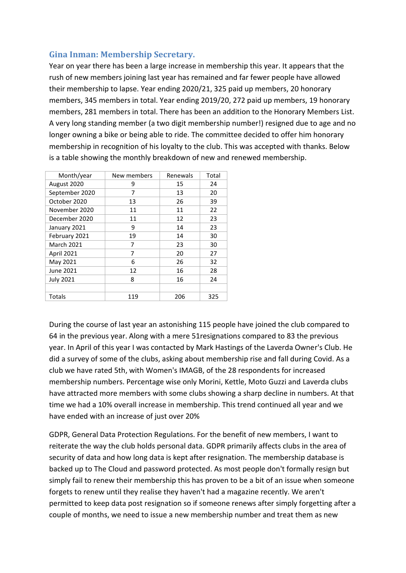## **Gina Inman: Membership Secretary.**

Year on year there has been a large increase in membership this year. It appears that the rush of new members joining last year has remained and far fewer people have allowed their membership to lapse. Year ending 2020/21, 325 paid up members, 20 honorary members, 345 members in total. Year ending 2019/20, 272 paid up members, 19 honorary members, 281 members in total. There has been an addition to the Honorary Members List. A very long standing member (a two digit membership number!) resigned due to age and no longer owning a bike or being able to ride. The committee decided to offer him honorary membership in recognition of his loyalty to the club. This was accepted with thanks. Below is a table showing the monthly breakdown of new and renewed membership.

| Month/year        | New members | Renewals | Total |
|-------------------|-------------|----------|-------|
| August 2020       | 9           | 15       | 24    |
| September 2020    | 7           | 13       | 20    |
| October 2020      | 13          | 26       | 39    |
| November 2020     | 11          | 11       | 22    |
| December 2020     | 11          | 12       | 23    |
| January 2021      | 9           | 14       | 23    |
| February 2021     | 19          | 14       | 30    |
| <b>March 2021</b> | 7           | 23       | 30    |
| <b>April 2021</b> | 7           | 20       | 27    |
| May 2021          | 6           | 26       | 32    |
| June 2021         | 12          | 16       | 28    |
| <b>July 2021</b>  | 8           | 16       | 24    |
|                   |             |          |       |
| Totals            | 119         | 206      | 325   |

During the course of last year an astonishing 115 people have joined the club compared to 64 in the previous year. Along with a mere 51resignations compared to 83 the previous year. In April of this year I was contacted by Mark Hastings of the Laverda Owner's Club. He did a survey of some of the clubs, asking about membership rise and fall during Covid. As a club we have rated 5th, with Women's IMAGB, of the 28 respondents for increased membership numbers. Percentage wise only Morini, Kettle, Moto Guzzi and Laverda clubs have attracted more members with some clubs showing a sharp decline in numbers. At that time we had a 10% overall increase in membership. This trend continued all year and we have ended with an increase of just over 20%

GDPR, General Data Protection Regulations. For the benefit of new members, I want to reiterate the way the club holds personal data. GDPR primarily affects clubs in the area of security of data and how long data is kept after resignation. The membership database is backed up to The Cloud and password protected. As most people don't formally resign but simply fail to renew their membership this has proven to be a bit of an issue when someone forgets to renew until they realise they haven't had a magazine recently. We aren't permitted to keep data post resignation so if someone renews after simply forgetting after a couple of months, we need to issue a new membership number and treat them as new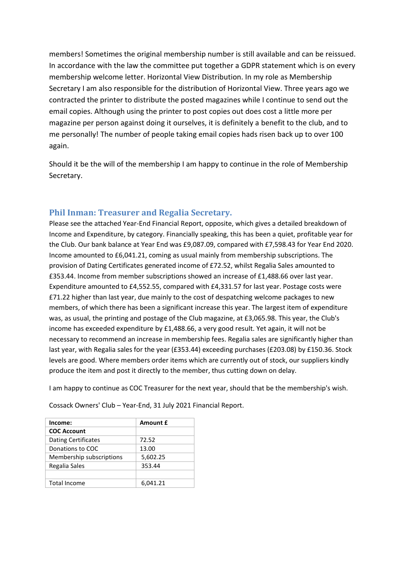members! Sometimes the original membership number is still available and can be reissued. In accordance with the law the committee put together a GDPR statement which is on every membership welcome letter. Horizontal View Distribution. In my role as Membership Secretary I am also responsible for the distribution of Horizontal View. Three years ago we contracted the printer to distribute the posted magazines while I continue to send out the email copies. Although using the printer to post copies out does cost a little more per magazine per person against doing it ourselves, it is definitely a benefit to the club, and to me personally! The number of people taking email copies hads risen back up to over 100 again.

Should it be the will of the membership I am happy to continue in the role of Membership Secretary.

## **Phil Inman: Treasurer and Regalia Secretary.**

Please see the attached Year-End Financial Report, opposite, which gives a detailed breakdown of Income and Expenditure, by category. Financially speaking, this has been a quiet, profitable year for the Club. Our bank balance at Year End was £9,087.09, compared with £7,598.43 for Year End 2020. Income amounted to £6,041.21, coming as usual mainly from membership subscriptions. The provision of Dating Certificates generated income of £72.52, whilst Regalia Sales amounted to £353.44. Income from member subscriptions showed an increase of £1,488.66 over last year. Expenditure amounted to £4,552.55, compared with £4,331.57 for last year. Postage costs were £71.22 higher than last year, due mainly to the cost of despatching welcome packages to new members, of which there has been a significant increase this year. The largest item of expenditure was, as usual, the printing and postage of the Club magazine, at £3,065.98. This year, the Club's income has exceeded expenditure by £1,488.66, a very good result. Yet again, it will not be necessary to recommend an increase in membership fees. Regalia sales are significantly higher than last year, with Regalia sales for the year (£353.44) exceeding purchases (£203.08) by £150.36. Stock levels are good. Where members order items which are currently out of stock, our suppliers kindly produce the item and post it directly to the member, thus cutting down on delay.

I am happy to continue as COC Treasurer for the next year, should that be the membership's wish.

| Income:                    | Amount £ |  |
|----------------------------|----------|--|
| <b>COC Account</b>         |          |  |
| <b>Dating Certificates</b> | 72.52    |  |
| Donations to COC           | 13.00    |  |
| Membership subscriptions   | 5,602.25 |  |
| Regalia Sales              | 353.44   |  |
|                            |          |  |
| <b>Total Income</b>        | 6.041.21 |  |

Cossack Owners' Club – Year-End, 31 July 2021 Financial Report.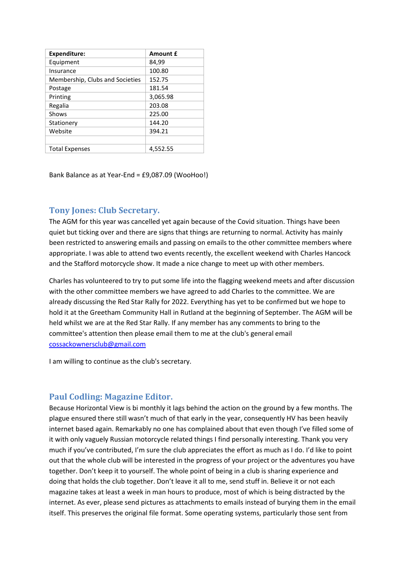| <b>Expenditure:</b>             | <b>Amount £</b> |
|---------------------------------|-----------------|
| Equipment                       | 84,99           |
| Insurance                       | 100.80          |
| Membership, Clubs and Societies | 152.75          |
| Postage                         | 181.54          |
| Printing                        | 3,065.98        |
| Regalia                         | 203.08          |
| Shows                           | 225.00          |
| Stationery                      | 144.20          |
| Website                         | 394.21          |
|                                 |                 |
| <b>Total Expenses</b>           | 4,552.55        |

Bank Balance as at Year-End = £9,087.09 (WooHoo!)

## **Tony Jones: Club Secretary.**

The AGM for this year was cancelled yet again because of the Covid situation. Things have been quiet but ticking over and there are signs that things are returning to normal. Activity has mainly been restricted to answering emails and passing on emails to the other committee members where appropriate. I was able to attend two events recently, the excellent weekend with Charles Hancock and the Stafford motorcycle show. It made a nice change to meet up with other members.

Charles has volunteered to try to put some life into the flagging weekend meets and after discussion with the other committee members we have agreed to add Charles to the committee. We are already discussing the Red Star Rally for 2022. Everything has yet to be confirmed but we hope to hold it at the Greetham Community Hall in Rutland at the beginning of September. The AGM will be held whilst we are at the Red Star Rally. If any member has any comments to bring to the committee's attention then please email them to me at the club's general email [cossackownersclub@gmail.com](mailto:cossackownersclub@gmail.com)

I am willing to continue as the club's secretary.

#### **Paul Codling: Magazine Editor.**

Because Horizontal View is bi monthly it lags behind the action on the ground by a few months. The plague ensured there still wasn't much of that early in the year, consequently HV has been heavily internet based again. Remarkably no one has complained about that even though I've filled some of it with only vaguely Russian motorcycle related things I find personally interesting. Thank you very much if you've contributed, I'm sure the club appreciates the effort as much as I do. I'd like to point out that the whole club will be interested in the progress of your project or the adventures you have together. Don't keep it to yourself. The whole point of being in a club is sharing experience and doing that holds the club together. Don't leave it all to me, send stuff in. Believe it or not each magazine takes at least a week in man hours to produce, most of which is being distracted by the internet. As ever, please send pictures as attachments to emails instead of burying them in the email itself. This preserves the original file format. Some operating systems, particularly those sent from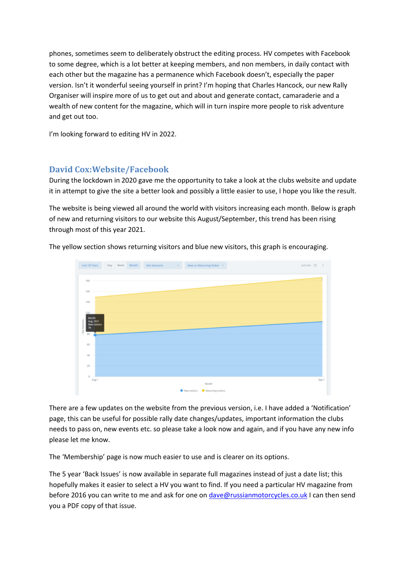phones, sometimes seem to deliberately obstruct the editing process. HV competes with Facebook to some degree, which is a lot better at keeping members, and non members, in daily contact with each other but the magazine has a permanence which Facebook doesn't, especially the paper version. Isn't it wonderful seeing yourself in print? I'm hoping that Charles Hancock, our new Rally Organiser will inspire more of us to get out and about and generate contact, camaraderie and a wealth of new content for the magazine, which will in turn inspire more people to risk adventure and get out too.

I'm looking forward to editing HV in 2022.

## **David Cox:Website/Facebook**

During the lockdown in 2020 gave me the opportunity to take a look at the clubs website and update it in attempt to give the site a better look and possibly a little easier to use, I hope you like the result.

The website is being viewed all around the world with visitors increasing each month. Below is graph of new and returning visitors to our website this August/September, this trend has been rising through most of this year 2021.

The yellow section shows returning visitors and blue new visitors, this graph is encouraging.



There are a few updates on the website from the previous version, i.e. I have added a 'Notification' page, this can be useful for possible rally date changes/updates, important information the clubs needs to pass on, new events etc. so please take a look now and again, and if you have any new info please let me know.

The 'Membership' page is now much easier to use and is clearer on its options.

The 5 year 'Back Issues' is now available in separate full magazines instead of just a date list; this hopefully makes it easier to select a HV you want to find. If you need a particular HV magazine from before 2016 you can write to me and ask for one on [dave@russianmotorcycles.co.uk](mailto:dave@russianmotorcycles.co.uk) I can then send you a PDF copy of that issue.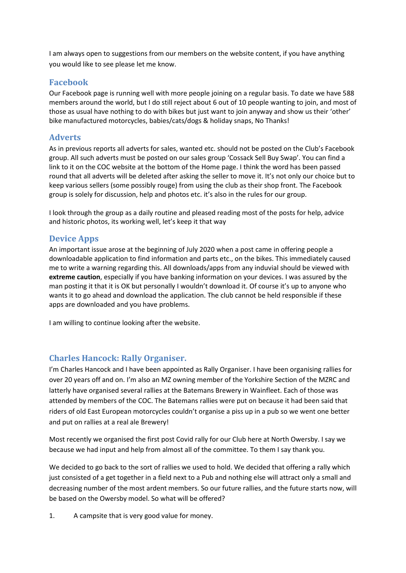I am always open to suggestions from our members on the website content, if you have anything you would like to see please let me know.

### **Facebook**

Our Facebook page is running well with more people joining on a regular basis. To date we have 588 members around the world, but I do still reject about 6 out of 10 people wanting to join, and most of those as usual have nothing to do with bikes but just want to join anyway and show us their 'other' bike manufactured motorcycles, babies/cats/dogs & holiday snaps, No Thanks!

### **Adverts**

As in previous reports all adverts for sales, wanted etc. should not be posted on the Club's Facebook group. All such adverts must be posted on our sales group 'Cossack Sell Buy Swap'. You can find a link to it on the COC website at the bottom of the Home page. I think the word has been passed round that all adverts will be deleted after asking the seller to move it. It's not only our choice but to keep various sellers (some possibly rouge) from using the club as their shop front. The Facebook group is solely for discussion, help and photos etc. it's also in the rules for our group.

I look through the group as a daily routine and pleased reading most of the posts for help, advice and historic photos, its working well, let's keep it that way

## **Device Apps**

An important issue arose at the beginning of July 2020 when a post came in offering people a downloadable application to find information and parts etc., on the bikes. This immediately caused me to write a warning regarding this. All downloads/apps from any induvial should be viewed with **extreme caution**, especially if you have banking information on your devices. I was assured by the man posting it that it is OK but personally I wouldn't download it. Of course it's up to anyone who wants it to go ahead and download the application. The club cannot be held responsible if these apps are downloaded and you have problems.

I am willing to continue looking after the website.

#### **Charles Hancock: Rally Organiser.**

I'm Charles Hancock and I have been appointed as Rally Organiser. I have been organising rallies for over 20 years off and on. I'm also an MZ owning member of the Yorkshire Section of the MZRC and latterly have organised several rallies at the Batemans Brewery in Wainfleet. Each of those was attended by members of the COC. The Batemans rallies were put on because it had been said that riders of old East European motorcycles couldn't organise a piss up in a pub so we went one better and put on rallies at a real ale Brewery!

Most recently we organised the first post Covid rally for our Club here at North Owersby. I say we because we had input and help from almost all of the committee. To them I say thank you.

We decided to go back to the sort of rallies we used to hold. We decided that offering a rally which just consisted of a get together in a field next to a Pub and nothing else will attract only a small and decreasing number of the most ardent members. So our future rallies, and the future starts now, will be based on the Owersby model. So what will be offered?

1. A campsite that is very good value for money.